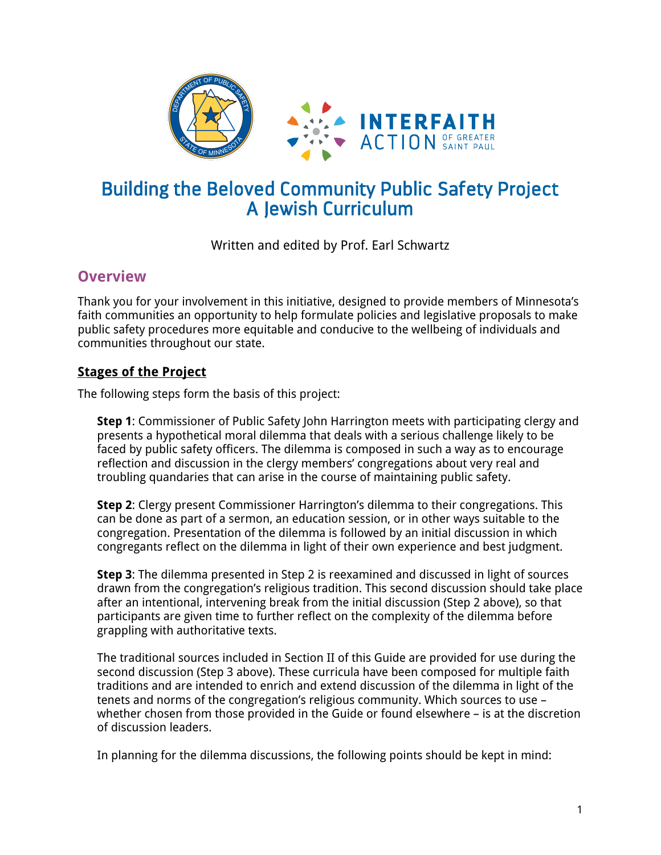

# Building the Beloved Community Public Safety Project A Jewish Curriculum

## Written and edited by Prof. Earl Schwartz

## **Overview**

Thank you for your involvement in this initiative, designed to provide members of Minnesota's faith communities an opportunity to help formulate policies and legislative proposals to make public safety procedures more equitable and conducive to the wellbeing of individuals and communities throughout our state.

## **Stages of the Project**

The following steps form the basis of this project:

**Step 1**: Commissioner of Public Safety John Harrington meets with participating clergy and presents a hypothetical moral dilemma that deals with a serious challenge likely to be faced by public safety officers. The dilemma is composed in such a way as to encourage reflection and discussion in the clergy members' congregations about very real and troubling quandaries that can arise in the course of maintaining public safety.

**Step 2**: Clergy present Commissioner Harrington's dilemma to their congregations. This can be done as part of a sermon, an education session, or in other ways suitable to the congregation. Presentation of the dilemma is followed by an initial discussion in which congregants reflect on the dilemma in light of their own experience and best judgment.

**Step 3**: The dilemma presented in Step 2 is reexamined and discussed in light of sources drawn from the congregation's religious tradition. This second discussion should take place after an intentional, intervening break from the initial discussion (Step 2 above), so that participants are given time to further reflect on the complexity of the dilemma before grappling with authoritative texts.

The traditional sources included in Section II of this Guide are provided for use during the second discussion (Step 3 above). These curricula have been composed for multiple faith traditions and are intended to enrich and extend discussion of the dilemma in light of the tenets and norms of the congregation's religious community. Which sources to use – whether chosen from those provided in the Guide or found elsewhere – is at the discretion of discussion leaders.

In planning for the dilemma discussions, the following points should be kept in mind: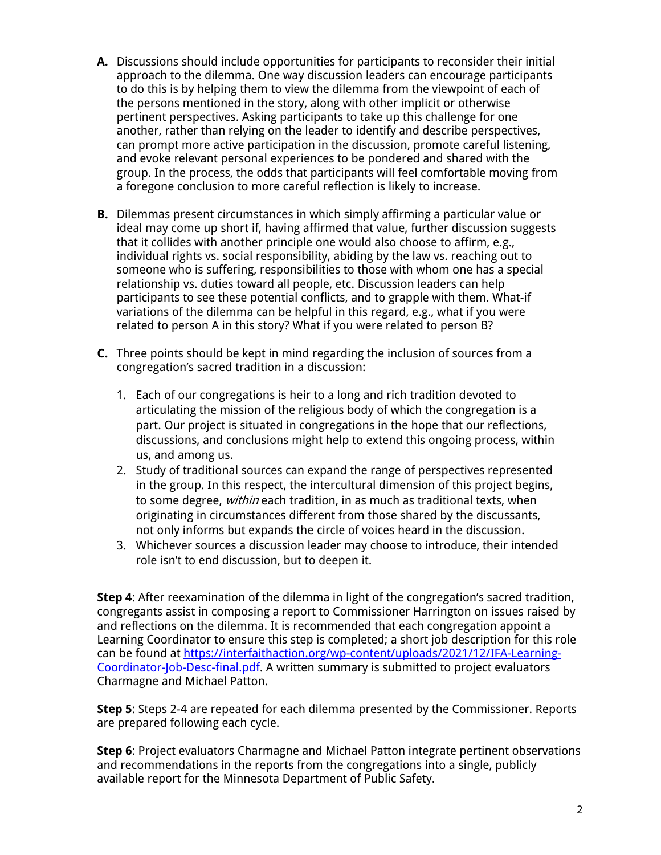- **A.** Discussions should include opportunities for participants to reconsider their initial approach to the dilemma. One way discussion leaders can encourage participants to do this is by helping them to view the dilemma from the viewpoint of each of the persons mentioned in the story, along with other implicit or otherwise pertinent perspectives. Asking participants to take up this challenge for one another, rather than relying on the leader to identify and describe perspectives, can prompt more active participation in the discussion, promote careful listening, and evoke relevant personal experiences to be pondered and shared with the group. In the process, the odds that participants will feel comfortable moving from a foregone conclusion to more careful reflection is likely to increase.
- **B.** Dilemmas present circumstances in which simply affirming a particular value or ideal may come up short if, having affirmed that value, further discussion suggests that it collides with another principle one would also choose to affirm, e.g., individual rights vs. social responsibility, abiding by the law vs. reaching out to someone who is suffering, responsibilities to those with whom one has a special relationship vs. duties toward all people, etc. Discussion leaders can help participants to see these potential conflicts, and to grapple with them. What-if variations of the dilemma can be helpful in this regard, e.g., what if you were related to person A in this story? What if you were related to person B?
- **C.** Three points should be kept in mind regarding the inclusion of sources from a congregation's sacred tradition in a discussion:
	- 1. Each of our congregations is heir to a long and rich tradition devoted to articulating the mission of the religious body of which the congregation is a part. Our project is situated in congregations in the hope that our reflections, discussions, and conclusions might help to extend this ongoing process, within us, and among us.
	- 2. Study of traditional sources can expand the range of perspectives represented in the group. In this respect, the intercultural dimension of this project begins, to some degree, *within* each tradition, in as much as traditional texts, when originating in circumstances different from those shared by the discussants, not only informs but expands the circle of voices heard in the discussion.
	- 3. Whichever sources a discussion leader may choose to introduce, their intended role isn't to end discussion, but to deepen it.

**Step 4**: After reexamination of the dilemma in light of the congregation's sacred tradition, congregants assist in composing a report to Commissioner Harrington on issues raised by and reflections on the dilemma. It is recommended that each congregation appoint a Learning Coordinator to ensure this step is completed; a short job description for this role can be found at https://interfaithaction.org/wp-content/uploads/2021/12/IFA-Learning-Coordinator-Job-Desc-final.pdf. A written summary is submitted to project evaluators Charmagne and Michael Patton.

**Step 5**: Steps 2-4 are repeated for each dilemma presented by the Commissioner. Reports are prepared following each cycle.

**Step 6**: Project evaluators Charmagne and Michael Patton integrate pertinent observations and recommendations in the reports from the congregations into a single, publicly available report for the Minnesota Department of Public Safety.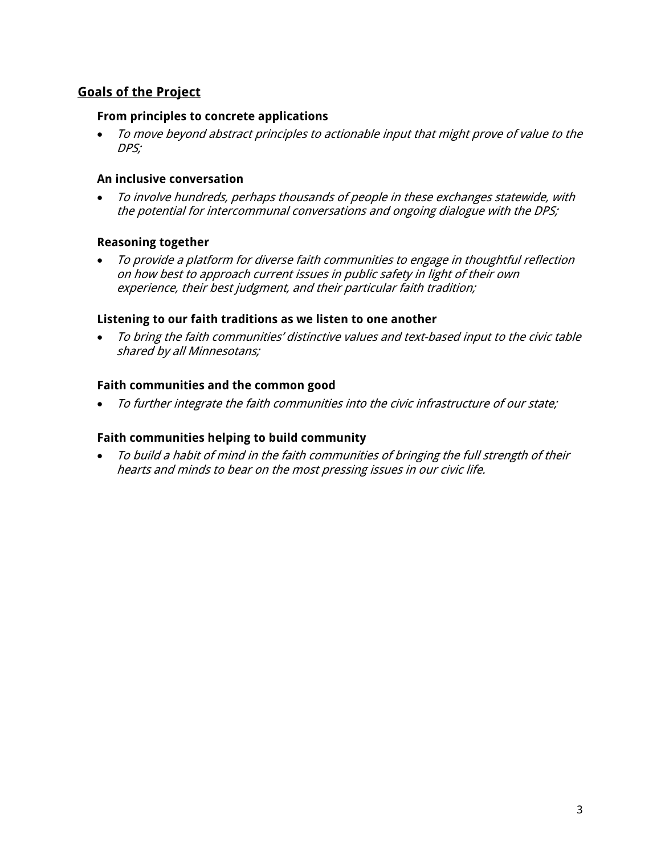## **Goals of the Project**

## **From principles to concrete applications**

• To move beyond abstract principles to actionable input that might prove of value to the DPS;

## **An inclusive conversation**

• To involve hundreds, perhaps thousands of people in these exchanges statewide, with the potential for intercommunal conversations and ongoing dialogue with the DPS;

#### **Reasoning together**

• To provide a platform for diverse faith communities to engage in thoughtful reflection on how best to approach current issues in public safety in light of their own experience, their best judgment, and their particular faith tradition;

#### **Listening to our faith traditions as we listen to one another**

• To bring the faith communities' distinctive values and text-based input to the civic table shared by all Minnesotans;

#### **Faith communities and the common good**

• To further integrate the faith communities into the civic infrastructure of our state;

#### **Faith communities helping to build community**

• To build a habit of mind in the faith communities of bringing the full strength of their hearts and minds to bear on the most pressing issues in our civic life.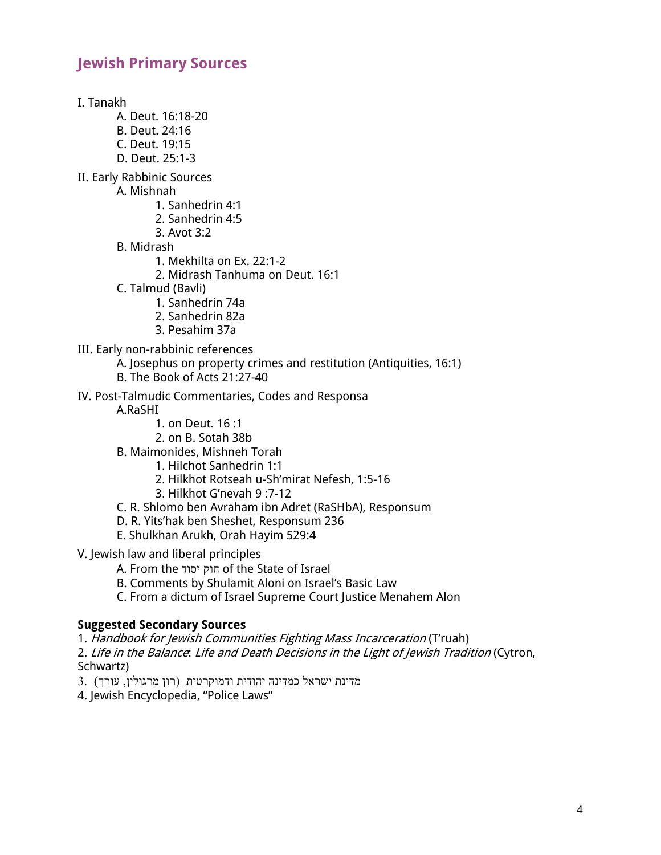## **Jewish Primary Sources**

I. Tanakh

- A. Deut. 16:18-20
- B. Deut. 24:16
- C. Deut. 19:15
- D. Deut. 25:1-3
- II. Early Rabbinic Sources
	- A. Mishnah
		- 1. Sanhedrin 4:1
		- 2. Sanhedrin 4:5
		- 3. Avot 3:2
		- B. Midrash
			- 1. Mekhilta on Ex. 22:1-2
			- 2. Midrash Tanhuma on Deut. 16:1
	- C. Talmud (Bavli)
		- 1. Sanhedrin 74a
		- 2. Sanhedrin 82a
		- 3. Pesahim 37a
- III. Early non-rabbinic references
	- A. Josephus on property crimes and restitution (Antiquities, 16:1)
	- B. The Book of Acts 21:27-40
- IV. Post-Talmudic Commentaries, Codes and Responsa

A.RaSHI

- 1. on Deut. 16 :1
- 2. on B. Sotah 38b
- B. Maimonides, Mishneh Torah
	- 1. Hilchot Sanhedrin 1:1
	- 2. Hilkhot Rotseah u-Sh'mirat Nefesh, 1:5-16
	- 3. Hilkhot G'nevah 9 :7-12
- C. R. Shlomo ben Avraham ibn Adret (RaSHbA), Responsum
- D. R. Yits'hak ben Sheshet, Responsum 236
- E. Shulkhan Arukh, Orah Hayim 529:4
- V. Jewish law and liberal principles
	- A. From the קוח דוסי of the State of Israel
	- B. Comments by Shulamit Aloni on Israel's Basic Law
	- C. From a dictum of Israel Supreme Court Justice Menahem Alon

#### **Suggested Secondary Sources**

1. Handbook for Jewish Communities Fighting Mass Incarceration (T'ruah)

2. Life in the Balance: Life and Death Decisions in the Light of Jewish Tradition (Cytron, Schwartz)

תינולין, מרינת הודית ודמוקרטית (רון מרגולין, אורך) אורך

4. Jewish Encyclopedia, "Police Laws"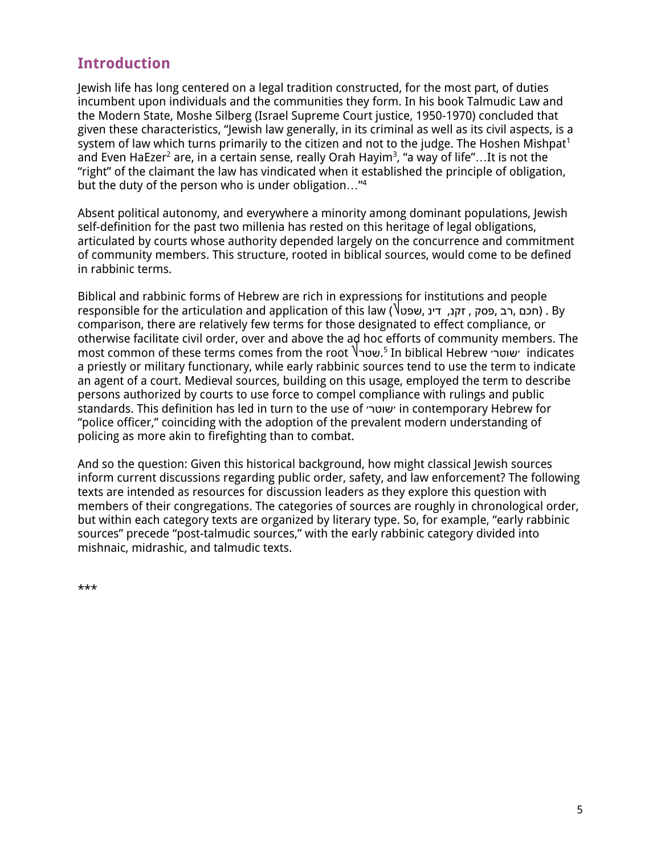## **Introduction**

Jewish life has long centered on a legal tradition constructed, for the most part, of duties incumbent upon individuals and the communities they form. In his book Talmudic Law and the Modern State, Moshe Silberg (Israel Supreme Court justice, 1950-1970) concluded that given these characteristics, "Jewish law generally, in its criminal as well as its civil aspects, is a system of law which turns primarily to the citizen and not to the judge. The Hoshen Mishpat<sup>1</sup> and Even HaEzer $^2$  are, in a certain sense, really Orah Hayim $^3$ , "a way of life"...It is not the "right" of the claimant the law has vindicated when it established the principle of obligation, but the duty of the person who is under obligation…" 4

Absent political autonomy, and everywhere a minority among dominant populations, Jewish self-definition for the past two millenia has rested on this heritage of legal obligations, articulated by courts whose authority depended largely on the concurrence and commitment of community members. This structure, rooted in biblical sources, would come to be defined in rabbinic terms.

Biblical and rabbinic forms of Hebrew are rich in expressions for institutions and people responsible for the articulation and application of this law (שפט , ניב , פסק, זקנ, דינ) . By comparison, there are relatively few terms for those designated to effect compliance, or otherwise facilitate civil order, over and above the ad hoc efforts of community members. The most common of these terms comes from the root `lשטר<sup>5</sup> In biblical Hebrew ׳ שוטר׳ indicates a priestly or military functionary, while early rabbinic sources tend to use the term to indicate an agent of a court. Medieval sources, building on this usage, employed the term to describe persons authorized by courts to use force to compel compliance with rulings and public standards. This definition has led in turn to the use of ׳רטוש׳ in contemporary Hebrew for "police officer," coinciding with the adoption of the prevalent modern understanding of policing as more akin to firefighting than to combat.

And so the question: Given this historical background, how might classical Jewish sources inform current discussions regarding public order, safety, and law enforcement? The following texts are intended as resources for discussion leaders as they explore this question with members of their congregations. The categories of sources are roughly in chronological order, but within each category texts are organized by literary type. So, for example, "early rabbinic sources" precede "post-talmudic sources," with the early rabbinic category divided into mishnaic, midrashic, and talmudic texts.

\*\*\*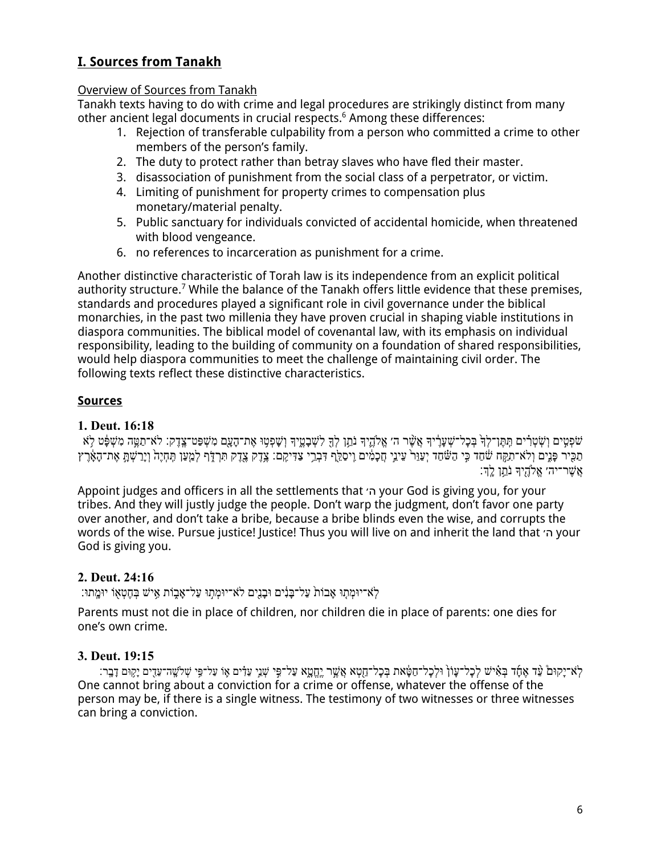## **I. Sources from Tanakh**

### Overview of Sources from Tanakh

Tanakh texts having to do with crime and legal procedures are strikingly distinct from many other ancient legal documents in crucial respects.6 Among these differences:

- 1. Rejection of transferable culpability from a person who committed a crime to other members of the person's family.
- 2. The duty to protect rather than betray slaves who have fled their master.
- 3. disassociation of punishment from the social class of a perpetrator, or victim.
- 4. Limiting of punishment for property crimes to compensation plus monetary/material penalty.
- 5. Public sanctuary for individuals convicted of accidental homicide, when threatened with blood vengeance.
- 6. no references to incarceration as punishment for a crime.

Another distinctive characteristic of Torah law is its independence from an explicit political authority structure.<sup>7</sup> While the balance of the Tanakh offers little evidence that these premises, standards and procedures played a significant role in civil governance under the biblical monarchies, in the past two millenia they have proven crucial in shaping viable institutions in diaspora communities. The biblical model of covenantal law, with its emphasis on individual responsibility, leading to the building of community on a foundation of shared responsibilities, would help diaspora communities to meet the challenge of maintaining civil order. The following texts reflect these distinctive characteristics.

## **Sources**

## **1. Deut. 16:18**

ְשֹׁפְטִים וְשִׂטְרִים תִּתֵּן־לִךְּבְּכָל־שָׁעֲרֵיךָ אֲשֶׁר הִ׳ אֱלֹהֱיִךְ נֹתֵן לִךָּ לִשְׁבָטֵיךָ וְשָׁפְטָו אֶת־הָעֲם מִשְׁפַּט־צֵדֶק: לֹא־תַמֱה מִשְׁפָּט לָא ְתַכְּיִר פָּנֶים וְלֹא־תִקֵּח שׁׁחַד כִּי הַשׁׁחַד יְעַוֵּר עֲינֵי חֲכָמִים וִיסַלֵּף דִּבְרֵי צַדִּיקִם: צֶדֶק צֶדֶק תִּרְדֶּף לְמֻעַּו תְּחָיֶה וְיָרַשְׁתָּ אֶת־הָאָצֶרֶץ  $\gamma$ י־רָה אֱלֹהֶיִךְ נֹתֵן לֵ

Appoint judges and officers in all the settlements that ׳ה your God is giving you, for your tribes. And they will justly judge the people. Don't warp the judgment, don't favor one party over another, and don't take a bribe, because a bribe blinds even the wise, and corrupts the words of the wise. Pursue justice! Justice! Thus you will live on and inherit the land that ׳ה your God is giving you.

## **2. Deut. 24:16**

יוּמְתוּ אָבוֹת עַל־בָּנִים וּבָנִים לֹא־יוּמְתוּ עַל־אָבָוֹת אָישׁ בְחֶטְאָוֹ יוּמֵתוּ:

Parents must not die in place of children, nor children die in place of parents: one dies for one's own crime.

## **3. Deut. 19:15**

ילֹא־יַקוּם עֵר אֵחָד בִּאִישׁ לְכָל־עַוֹן וּלְכָל־חַטָּאת בִּכָל־חֵמָא אֲשֵׁר יֵחֲטַא עַל־פִּי שָׁנִי עֵדִּים שִׁי עַל־פִּי שִׁלֹשֱה־עֲדֶים יַקִּוּם דָבָר: One cannot bring about a conviction for a crime or offense, whatever the offense of the person may be, if there is a single witness. The testimony of two witnesses or three witnesses can bring a conviction.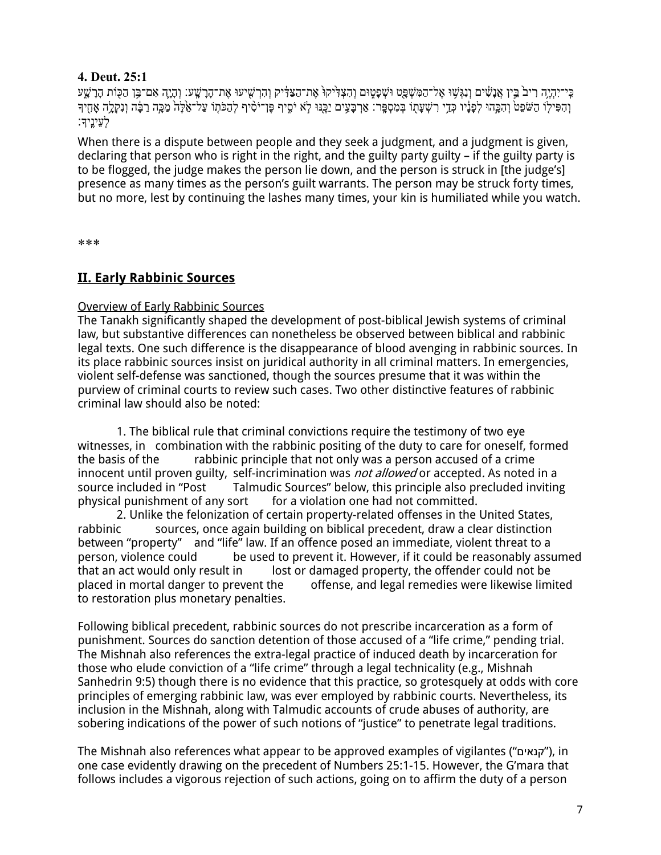## **4. Deut. 25:1**

ַּבִּי־יִהְיֶה רִיבֹ בֵּיָן אֲנָשִׁים וְנִגְּשָׁוּ אֶל־הַמִּשְׁפָּט וּשְׁפָטֶוּם וְהִצְדִּיקוּ אֶת־הַבִּשָׁעִי עָת־הָרָשָׁע׃ וְהָיֶה אִם־בֵּן הַכָּוֹת הָרָשָׁע וְהִפִּילוֹ הַשֹּׁפֵט וְהָכֲֵּהוּ לְפָנֵיו כָּדֵי רְשִׁעַתְוֹ בִּמְסִפֵּֽר: אַרְבַּעֵים יַכֵּנִּוּ לְא יֹסֵיף פֶּן־יֹסִיף לְהַכֹּתְוֹ עַל־אֶלֶה מַכֵּ֣ה רָבָּה וְנִקְלֵה אָחִיךָ :לְעֵינֵיִך

When there is a dispute between people and they seek a judgment, and a judgment is given, declaring that person who is right in the right, and the guilty party guilty – if the guilty party is to be flogged, the judge makes the person lie down, and the person is struck in [the judge's] presence as many times as the person's guilt warrants. The person may be struck forty times, but no more, lest by continuing the lashes many times, your kin is humiliated while you watch.

\*\*\*

## **II. Early Rabbinic Sources**

## Overview of Early Rabbinic Sources

The Tanakh significantly shaped the development of post-biblical Jewish systems of criminal law, but substantive differences can nonetheless be observed between biblical and rabbinic legal texts. One such difference is the disappearance of blood avenging in rabbinic sources. In its place rabbinic sources insist on juridical authority in all criminal matters. In emergencies, violent self-defense was sanctioned, though the sources presume that it was within the purview of criminal courts to review such cases. Two other distinctive features of rabbinic criminal law should also be noted:

1. The biblical rule that criminal convictions require the testimony of two eye witnesses, in combination with the rabbinic positing of the duty to care for oneself, formed the basis of the rabbinic principle that not only was a person accused of a crime innocent until proven guilty, self-incrimination was not allowed or accepted. As noted in a source included in "Post Talmudic Sources" below, this principle also precluded inviting physical punishment of any sort for a violation one had not committed.

2. Unlike the felonization of certain property-related offenses in the United States, rabbinic sources, once again building on biblical precedent, draw a clear distinction between "property" and "life" law. If an offence posed an immediate, violent threat to a person, violence could be used to prevent it. However, if it could be reasonably assumed that an act would only result in lost or damaged property, the offender could not be placed in mortal danger to prevent the offense, and legal remedies were likewise limited to restoration plus monetary penalties.

Following biblical precedent, rabbinic sources do not prescribe incarceration as a form of punishment. Sources do sanction detention of those accused of a "life crime," pending trial. The Mishnah also references the extra-legal practice of induced death by incarceration for those who elude conviction of a "life crime" through a legal technicality (e.g., Mishnah Sanhedrin 9:5) though there is no evidence that this practice, so grotesquely at odds with core principles of emerging rabbinic law, was ever employed by rabbinic courts. Nevertheless, its inclusion in the Mishnah, along with Talmudic accounts of crude abuses of authority, are sobering indications of the power of such notions of "justice" to penetrate legal traditions.

The Mishnah also references what appear to be approved examples of vigilantes (" םיאנק(" , in one case evidently drawing on the precedent of Numbers 25:1-15. However, the G'mara that follows includes a vigorous rejection of such actions, going on to affirm the duty of a person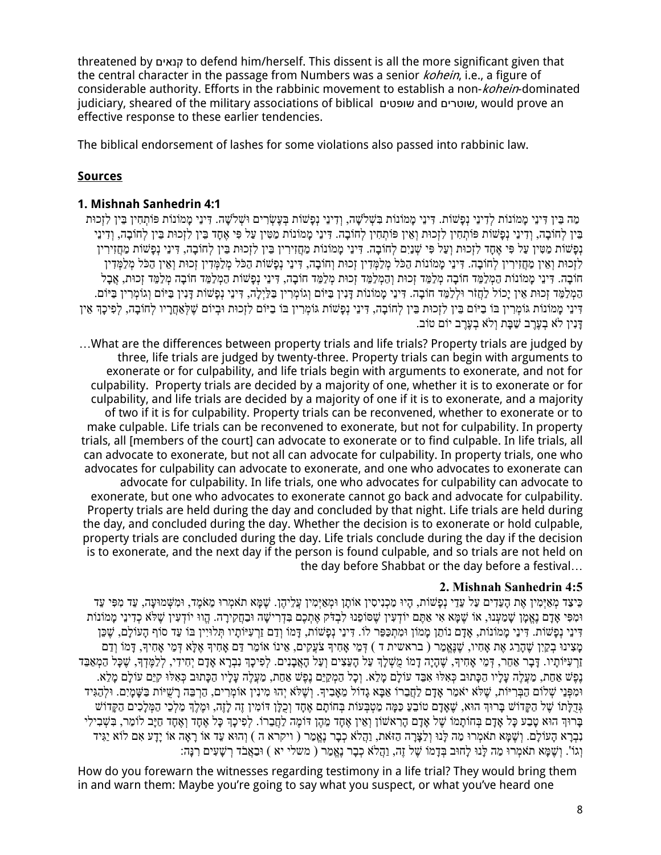threatened by םיאנק to defend him/herself. This dissent is all the more significant given that the central character in the passage from Numbers was a senior *kohein*, i.e., a figure of considerable authority. Efforts in the rabbinic movement to establish a non-kohein-dominated judiciary, sheared of the military associations of biblical םיטפוש and םירטוש , would prove an effective response to these earlier tendencies.

The biblical endorsement of lashes for some violations also passed into rabbinic law.

## **Sources**

## **1. Mishnah Sanhedrin 4:1**

ְמָה בֵּין דִּינֵי מָמוֹנוֹת לְדִינֵי נְפָשׁוֹת. דִּינֵי מָמוֹנוֹת בִּשְׁלֹשֶׁה, וְדִינֵי נְפָשׁוֹת בְּעֵשְׂרִים וּשָׁלֹשָׁה. דִּינֵי מָמוֹנוֹת פּוֹתְחָין בֵּין לִזְכוּת בִּין לְחוֹבָה, וִדִינֵי נִפָּשׁוֹת פּוֹתְחִין לִזְכוּת וְאֵין פּוֹתְחִין לִחוֹבָה. דִּינֵי מַמּוֹנוֹת מַטִּין עַל פִּי אֲחָד בֵּין לִזְכוּת בֵּין לִחוֹבָה, וִדִּינֵי נְפַשׁוֹת מַטִּין עַל פִּי אֶחֶד לִזְכוּת וְעַל פִּי שְׁנַיִם לְחוֹבָה. דִּינֵי מַמוֹנוֹת מַחֲזִירִין בֵּין לִזְכוּת בֵּין לִחוֹבַה, דִּינֵי נִפְשׁוֹת מַחֲזִירִין לִזְכוּת וָאֵין מַחֲזִירִין לִחוֹבָה. דִּינֵי מַמוֹנוֹת הָכֹּל מְלַמְּדִין זָכוּת וְחוֹבָה, דִּינֵי נִפְשׁוֹת הַכֹּל מְלַמְּדִין זָכוּת וְאֵין הַכֹּל מְלַמְּדִין הוֹבָה. דִינֵי מַמוֹנוֹת הַמְלַמֵּד חוֹבָה מְלַמֵּד זָכוּת וְהַמְלַמֵּד זָכוּת מְלַמֵּד חוֹבָה, דִּינֵי נִפְשׁוֹת הַמְלַמֵּד חוֹבָה מְלַמֵּד זָכוּת, אֲבָל הַמְלַמֵּד זָכוּת אֵין יַכוֹל לַחֲזֹר וּלְלַמֵּד חוֹבָה. דִּינֵי מַמוֹנוֹת דַּנִין בַּיּוֹם וְגוֹמְרִיו בַּלְיָלָה, דִּינֵי נִפְשׁוֹת דַּנְין בַּיּוֹם וְגוֹמְרִין בַּיּוֹם. ָדִּינֵי מַמֹוֹנוֹת גּוֹמְרִין בּוֹ בַיּוֹם בֵּין לִזְכוּת בֵּין לְחוֹבָה, דִּינֵי נִפָּשׁוֹת גּוֹמְרִין בּוֹ בַיּוֹם לִזְכוּת וּבִיוֹם שֵׁלְאַחֲרֵיו לְחוֹבָה, לִפִיכַךְ אֵין בוֹט םוֹי בֶרֶעְב אֹלְו תָבַּשׁ בֶרֶעְב אֹל ןיִנָדּ .

…What are the differences between property trials and life trials? Property trials are judged by three, life trials are judged by twenty-three. Property trials can begin with arguments to exonerate or for culpability, and life trials begin with arguments to exonerate, and not for culpability. Property trials are decided by a majority of one, whether it is to exonerate or for culpability, and life trials are decided by a majority of one if it is to exonerate, and a majority of two if it is for culpability. Property trials can be reconvened, whether to exonerate or to make culpable. Life trials can be reconvened to exonerate, but not for culpability. In property trials, all [members of the court] can advocate to exonerate or to find culpable. In life trials, all can advocate to exonerate, but not all can advocate for culpability. In property trials, one who advocates for culpability can advocate to exonerate, and one who advocates to exonerate can advocate for culpability. In life trials, one who advocates for culpability can advocate to exonerate, but one who advocates to exonerate cannot go back and advocate for culpability. Property trials are held during the day and concluded by that night. Life trials are held during the day, and concluded during the day. Whether the decision is to exonerate or hold culpable, property trials are concluded during the day. Life trials conclude during the day if the decision is to exonerate, and the next day if the person is found culpable, and so trials are not held on the day before Shabbat or the day before a festival…

#### **2. Mishnah Sanhedrin 4:5**

ַכִּיצַד מְאֵיִמְין אֶת הַעֲדִים עַל עֲדֵי נִפַּשׁוֹת, הֵיוּ מַכְנִיסִין אוֹתַן וּמְאֵיִמְין עֲלֶיהֶן. שֶׁמֵּא תֹאמְרוּ מֵאֹמֶד, וּמְשָׁמוּעֲה, עֵד מְפִּי עֵד וּמְפִּי אַדָם נֵאֱמַן שַׁמַעְנוּ, אוֹ שֵׁמַּא אִי אַתֵּם יוֹדְעִין שֵׁסוֹפֶנוּ לְבָדִּק אֵתִכֵם בְּדָרִישָׁה וּבַחֲקִירַה. הֱווּ יוֹדְעִין שֵׁלֹא כְדִינֵי מַמוֹנוֹת דִּינֵי נְפַשׁוֹת. דִּינֵי מַמוֹנוֹת, אַדָם נוֹתֵן מַמוֹן וּמְתִכַּפֶּר לוֹ. דִּינֵי נְפַשׁוֹת, דַּמוֹ וָדָם זַרְעָיּוֹתֵיו תִּלוּיִין בּוֹ עַד סוֹף הַעוֹלַם, שֶׁכֶּן ַמְאָינוּ בְקַיִן שֶׁהָרֵג אֶת אֲחָיו, שֵׁנֵאֲמַר ( בראשית ד ) דְּמֵי אֲחִיךָ צֹעֲקִים, אֵינוֹ אוֹמֵר דַּם אַחִיךְ אֵלָּא דְּמֵי אֲחִיךְ, דַּמוֹ וִדַם נַרְעִיּוֹתַיו. דַּבָר אַחֶר, דִּמֵי אָחִיךָ, שֶׁהֲיָה דָמוֹ מֻשָׁלַךְ עַל הָעֲצִים וְעַל הָאֲבָנִים. לִפִיכַךְ נִבְרָא אַדַם יִחִידִי, לִלַמֵּדְךָ, שַׁכָּל הַמְאַבֵּד נִפָּשׁ אַחַת, מַעֲלָה עָלָיו הַכָּתוּב כְּאִלּוּ אָבֵד עוֹלָם מָלֵא. וְכָל הַמְקַיֵּם נֵפֶשׁ אַחַת, מַעֲלֶה עָלָיו הַכָּתוּב כְּאִלּוּ קִיֵּם עוֹלָם מָלֵא. וּמִפְּנֵי שִׁלוֹם הַבְּרִיּוֹת, שֵׁלֹּא יֹאמַר אַדַם לַחֲבֵרוֹ אַבָּא גָדוֹל מֵאָבִיךָ. וְשָׁלֹּא יָהוּ מִינִין אוֹמְרִים, הַרְבֵּה רָשֵׁיּוֹת בַּשָּׁמָיִם. וּלְהַגִּיד גִדְלְתוֹ שַׁל הַקִּדוֹשׁ בַּרוּךְ הוּא, שֵׁאַדַם טוֹבֵעַ כַּמַּה מַטְבָּעוֹת בְּחוֹתַם אֶחַד וְכִלַּן דּוֹמִין זֶה לָזֶה, וּמֶלֶךְ מַלְכֵי הַמְּלָכִים הַקָּדוֹש ָבְּרוּךְ הוּא טָבַע כָּל אָדָם בְּחוֹתָמוֹ שֶׁל אָדָם הָרָאשׁוֹן וְאֵין אֶחֶד מֵהֶן דּוֹמֶה לַחֲבֵרוֹ. לְפִיכָךְ כָּל אֶחֶד וְאֶחֶד חַיָּב לוֹמַר, בִּשְׁבִילִי נִבְרָא הָעוֹלַם. וְשֶׁמֵּא תֹאמְרוּ מַה לַּנוּ וְלַצַּרַה הַזֹּאת, וַהֲלֹא כְבָר נֵאֱמַר ( ויקרא ה ) וְהוּא עֵד אוֹ דַאָה אוֹ יַדַע אִם לוֹא יַגִּיד ַוְגוֹ'. וְשֶׁמֵּא תֹאמְרוּ מַה לַּנוּ לַחוּב בְּדָמוֹ שֶׁל זֶה, וַהֲלֹא כְבַר נֵאֱמֵר ( מִשְׁלִי יֹא ) וּבָאֲבֹד רָשָׁעִים רְנַּה:

How do you forewarn the witnesses regarding testimony in a life trial? They would bring them in and warn them: Maybe you're going to say what you suspect, or what you've heard one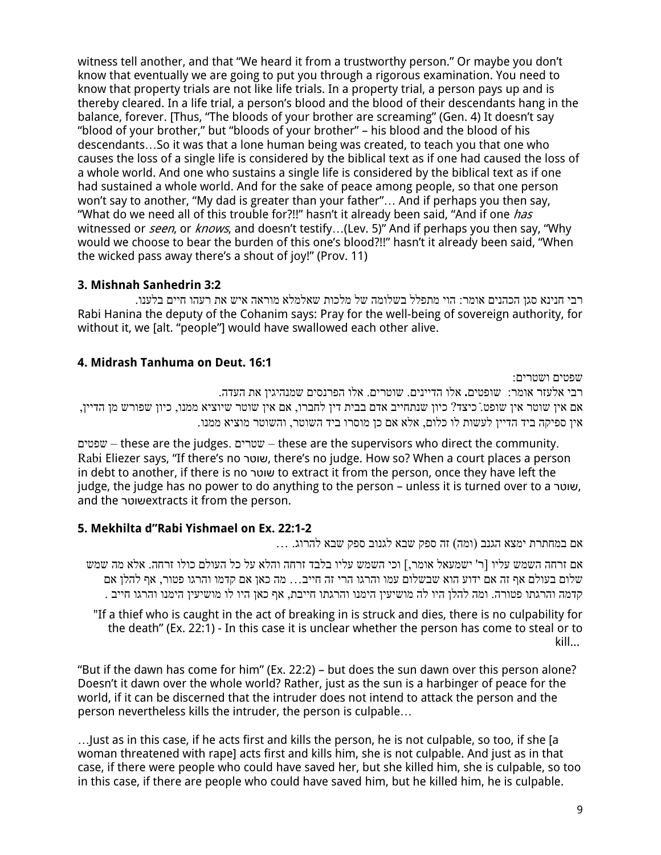witness tell another, and that "We heard it from a trustworthy person." Or maybe you don't know that eventually we are going to put you through a rigorous examination. You need to know that property trials are not like life trials. In a property trial, a person pays up and is thereby cleared. In a life trial, a person's blood and the blood of their descendants hang in the balance, forever. [Thus, "The bloods of your brother are screaming" (Gen. 4) It doesn't say "blood of your brother," but "bloods of your brother" – his blood and the blood of his descendants…So it was that a lone human being was created, to teach you that one who causes the loss of a single life is considered by the biblical text as if one had caused the loss of a whole world. And one who sustains a single life is considered by the biblical text as if one had sustained a whole world. And for the sake of peace among people, so that one person won't say to another, "My dad is greater than your father"… And if perhaps you then say, "What do we need all of this trouble for?!!" hasn't it already been said, "And if one *has* witnessed or *seen*, or *knows*, and doesn't testify...(Lev. 5)" And if perhaps you then say, "Why would we choose to bear the burden of this one's blood?!!" hasn't it already been said, "When the wicked pass away there's a shout of joy!" (Prov. 11)

## **3. Mishnah Sanhedrin 3:2**

. רבי חנינא סגן הכהנים אומר: הוי מתפלל בשלומה של מלכות שאלמלא מוראה איש את רעהו חיים בלענו Rabi Hanina the deputy of the Cohanim says: Pray for the well-being of sovereign authority, for without it, we [alt. "people"] would have swallowed each other alive.

## **4. Midrash Tanhuma on Deut. 16:1**

:שפטים ושטרים רבי אלעזר אומר: שופטים**.** אלו הדיינים. שוטרים. אלו הפרנסים שמנהיגין את העדה. ,אם אין שוטר אין שופט. כיצד? כיון שנתחייב אדם בבית דין לחברו, אם אין שוטר שיוציא ממנו, כיון שפורש מן הדיין ון ספיקה ביד הדיין לעשות לו כלום, אלא אם כן מוסרו ביד השוטר, והשוטר מוציא ממנו.

שפטים – these are the judges. שטרים – these are the supervisors who direct the community. Rabi Eliezer says, "If there's no רטוש , there's no judge. How so? When a court places a person in debt to another, if there is no רטוש to extract it from the person, once they have left the judge, the judge has no power to do anything to the person – unless it is turned over to a שוטר and the רטוש extracts it from the person.

## **5. Mekhilta d"Rabi Yishmael on Ex. 22:1-2**

... אם במחתרת ימצא הגנב (ומה) זה ספק שבא לגנוב ספק שבא להרוג.

אם זרחה השמש עליו [ר' ישמעאל אומר,] וכי השמש עליו בלבד זרחה והלא על כל העולם כולו זרחה. אלא מה שמש שלום בעולם אף זה אם ידוע הוא שבשלום עמו והרגו הרי זה חייב… מה כאן אם קדמו והרגו פטור, אף להלן אם . קדמה והרגתו פטורה. ומה להלן היו לה מושיעין הימנו והרגתו חייבת, אף כאן היו לו מושיעין הימנו והרגו חייב

"If a thief who is caught in the act of breaking in is struck and dies, there is no culpability for the death" (Ex. 22:1) - In this case it is unclear whether the person has come to steal or to kill...

"But if the dawn has come for him" (Ex. 22:2) – but does the sun dawn over this person alone? Doesn't it dawn over the whole world? Rather, just as the sun is a harbinger of peace for the world, if it can be discerned that the intruder does not intend to attack the person and the person nevertheless kills the intruder, the person is culpable…

…Just as in this case, if he acts first and kills the person, he is not culpable, so too, if she [a woman threatened with rape] acts first and kills him, she is not culpable. And just as in that case, if there were people who could have saved her, but she killed him, she is culpable, so too in this case, if there are people who could have saved him, but he killed him, he is culpable.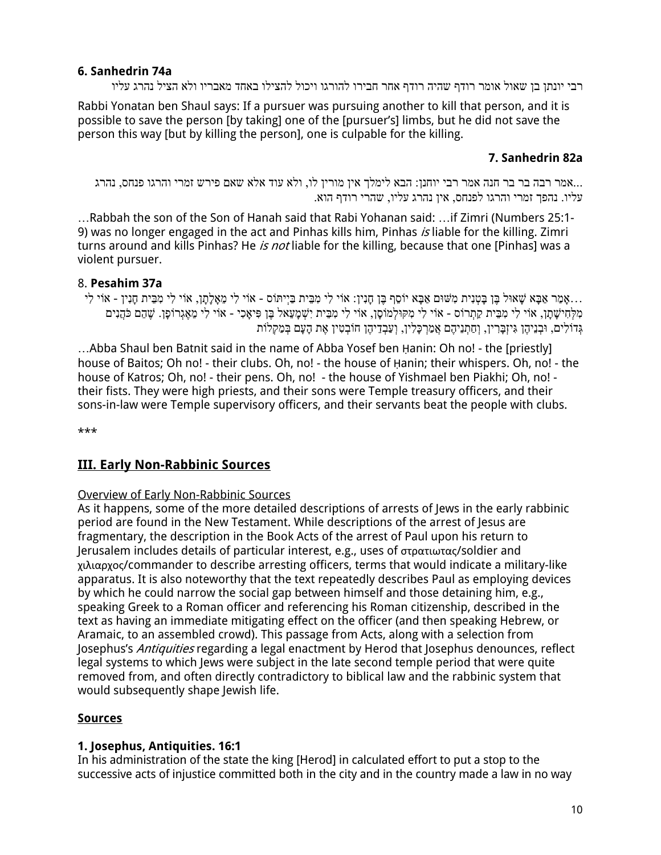## **6. Sanhedrin 74a**

רבי יונתן בן שאול אומר רודף שהיה רודף אחר חבירו להורגו ויכול להצילו באחד מאבריו ולא הציל נהרג עליו

Rabbi Yonatan ben Shaul says: If a pursuer was pursuing another to kill that person, and it is possible to save the person [by taking] one of the [pursuer's] limbs, but he did not save the person this way [but by killing the person], one is culpable for the killing.

## **7. Sanhedrin 82a**

...אמר רבה בר בר חנה אמר רבי יוחנן: הבא לימלך אין מורין לו, ולא עוד אלא שאם פירש זמרי והרגו פנחס, נהרג. .עליו. נהפך זמרי והרגו לפנחס, אין נהרג עליו, שהרי רודף הוא

…Rabbah the son of the Son of Hanah said that Rabi Yohanan said: …if Zimri (Numbers 25:1- 9) was no longer engaged in the act and Pinhas kills him, Pinhas is liable for the killing. Zimri turns around and kills Pinhas? He is not liable for the killing, because that one [Pinhas] was a violent pursuer.

## 8. **Pesahim 37a**

...אמר אָבּא שׁאוּל בּוָ בּטנית מֹשׁוּם אָבּא יוֹסף בּוָ חִנִין: אוֹי לי מבּית בּייִתּוֹס - אוֹי לי מאַלְתַן, אוֹי לי מבּית חנין - אוֹי לי ְתִּלְתִישָׁתָן, אוֹי לִי מִבֵּית קַתְרוֹס - אוֹי לִי מִקּוּלְמוֹסָן, אוֹי לִי מִבֵּית יִשְׁמָעֵאל בֵּן פִּיאָכִי - אוֹי לִי מֵאֶגְרוֹפָן. שֶׁהֶם כֹּהֲנִים ָגְדוֹלִים, וּבְנֵיהֶן גִּיזְבַּרִין, וְחַתְנֵיהֶם אֲמַרְכָּלִין, וְעַבְדֵיהֶן חוֹבְטִין אֵת הַעָּם בְּמַקְלוֹת

…Abba Shaul ben Batnit said in the name of Abba Yosef ben Ḥanin: Oh no! - the [priestly] house of Baitos; Oh no! - their clubs. Oh, no! - the house of Hanin; their whispers. Oh, no! - the house of Katros; Oh, no! - their pens. Oh, no! - the house of Yishmael ben Piakhi; Oh, no! their fists. They were high priests, and their sons were Temple treasury officers, and their sons-in-law were Temple supervisory officers, and their servants beat the people with clubs.

\*\*\*

## **III. Early Non-Rabbinic Sources**

#### Overview of Early Non-Rabbinic Sources

As it happens, some of the more detailed descriptions of arrests of Jews in the early rabbinic period are found in the New Testament. While descriptions of the arrest of Jesus are fragmentary, the description in the Book Acts of the arrest of Paul upon his return to Jerusalem includes details of particular interest, e.g., uses of στρατιωτας/soldier and χιλιαρχος/commander to describe arresting officers, terms that would indicate a military-like apparatus. It is also noteworthy that the text repeatedly describes Paul as employing devices by which he could narrow the social gap between himself and those detaining him, e.g., speaking Greek to a Roman officer and referencing his Roman citizenship, described in the text as having an immediate mitigating effect on the officer (and then speaking Hebrew, or Aramaic, to an assembled crowd). This passage from Acts, along with a selection from Josephus's Antiquities regarding a legal enactment by Herod that Josephus denounces, reflect legal systems to which Jews were subject in the late second temple period that were quite removed from, and often directly contradictory to biblical law and the rabbinic system that would subsequently shape Jewish life.

## **Sources**

#### **1. Josephus, Antiquities. 16:1**

In his administration of the state the king [Herod] in calculated effort to put a stop to the successive acts of injustice committed both in the city and in the country made a law in no way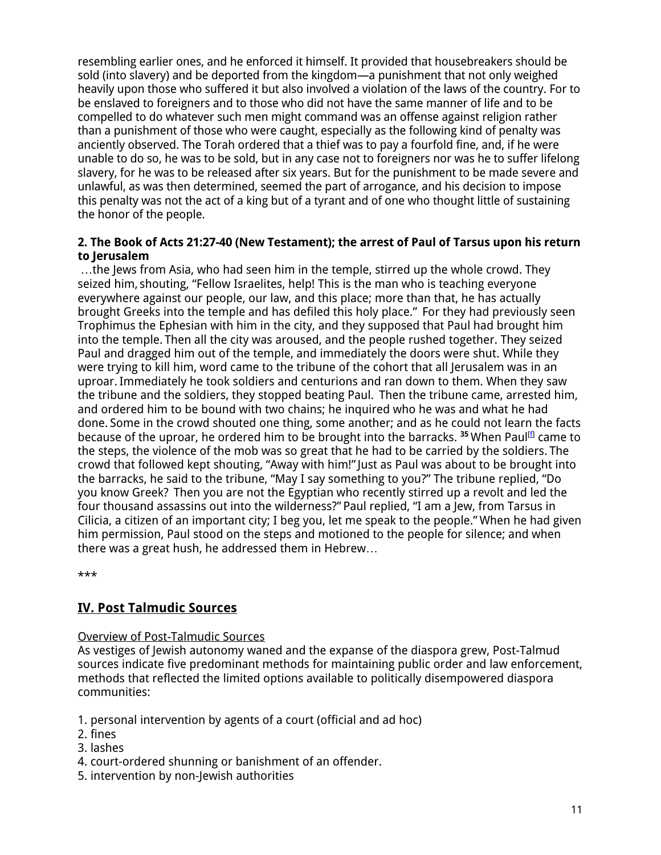resembling earlier ones, and he enforced it himself. It provided that housebreakers should be sold (into slavery) and be deported from the kingdom—a punishment that not only weighed heavily upon those who suffered it but also involved a violation of the laws of the country. For to be enslaved to foreigners and to those who did not have the same manner of life and to be compelled to do whatever such men might command was an offense against religion rather than a punishment of those who were caught, especially as the following kind of penalty was anciently observed. The Torah ordered that a thief was to pay a fourfold fine, and, if he were unable to do so, he was to be sold, but in any case not to foreigners nor was he to suffer lifelong slavery, for he was to be released after six years. But for the punishment to be made severe and unlawful, as was then determined, seemed the part of arrogance, and his decision to impose this penalty was not the act of a king but of a tyrant and of one who thought little of sustaining the honor of the people.

### **2. The Book of Acts 21:27-40 (New Testament); the arrest of Paul of Tarsus upon his return to Jerusalem**

…the Jews from Asia, who had seen him in the temple, stirred up the whole crowd. They seized him, shouting, "Fellow Israelites, help! This is the man who is teaching everyone everywhere against our people, our law, and this place; more than that, he has actually brought Greeks into the temple and has defiled this holy place." For they had previously seen Trophimus the Ephesian with him in the city, and they supposed that Paul had brought him into the temple. Then all the city was aroused, and the people rushed together. They seized Paul and dragged him out of the temple, and immediately the doors were shut. While they were trying to kill him, word came to the tribune of the cohort that all Jerusalem was in an uproar.Immediately he took soldiers and centurions and ran down to them. When they saw the tribune and the soldiers, they stopped beating Paul. Then the tribune came, arrested him, and ordered him to be bound with two chains; he inquired who he was and what he had done. Some in the crowd shouted one thing, some another; and as he could not learn the facts because of the uproar, he ordered him to be brought into the barracks. **<sup>35</sup>** When Paul[f] came to the steps, the violence of the mob was so great that he had to be carried by the soldiers. The crowd that followed kept shouting, "Away with him!"Just as Paul was about to be brought into the barracks, he said to the tribune, "May I say something to you?" The tribune replied, "Do you know Greek? Then you are not the Egyptian who recently stirred up a revolt and led the four thousand assassins out into the wilderness?" Paul replied, "I am a Jew, from Tarsus in Cilicia, a citizen of an important city; I beg you, let me speak to the people." When he had given him permission, Paul stood on the steps and motioned to the people for silence; and when there was a great hush, he addressed them in Hebrew…

\*\*\*

## **IV. Post Talmudic Sources**

#### Overview of Post-Talmudic Sources

As vestiges of Jewish autonomy waned and the expanse of the diaspora grew, Post-Talmud sources indicate five predominant methods for maintaining public order and law enforcement, methods that reflected the limited options available to politically disempowered diaspora communities:

- 1. personal intervention by agents of a court (official and ad hoc)
- 2. fines
- 3. lashes
- 4. court-ordered shunning or banishment of an offender.
- 5. intervention by non-Jewish authorities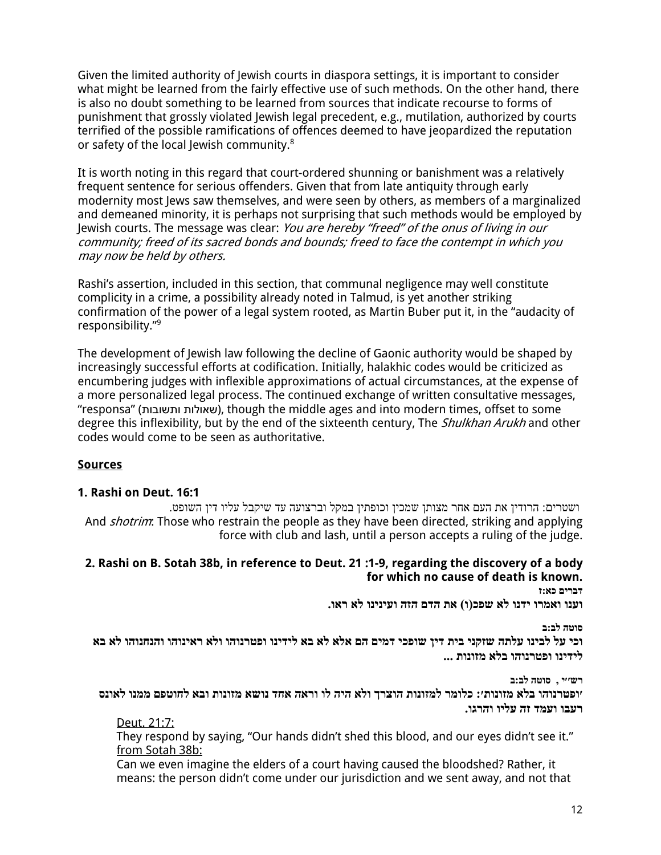Given the limited authority of Jewish courts in diaspora settings, it is important to consider what might be learned from the fairly effective use of such methods. On the other hand, there is also no doubt something to be learned from sources that indicate recourse to forms of punishment that grossly violated Jewish legal precedent, e.g., mutilation, authorized by courts terrified of the possible ramifications of offences deemed to have jeopardized the reputation or safety of the local Jewish community.<sup>8</sup>

It is worth noting in this regard that court-ordered shunning or banishment was a relatively frequent sentence for serious offenders. Given that from late antiquity through early modernity most Jews saw themselves, and were seen by others, as members of a marginalized and demeaned minority, it is perhaps not surprising that such methods would be employed by Jewish courts. The message was clear: You are hereby "freed" of the onus of living in our community; freed of its sacred bonds and bounds; freed to face the contempt in which you may now be held by others.

Rashi's assertion, included in this section, that communal negligence may well constitute complicity in a crime, a possibility already noted in Talmud, is yet another striking confirmation of the power of a legal system rooted, as Martin Buber put it, in the "audacity of responsibility."9

The development of Jewish law following the decline of Gaonic authority would be shaped by increasingly successful efforts at codification. Initially, halakhic codes would be criticized as encumbering judges with inflexible approximations of actual circumstances, at the expense of a more personalized legal process. The continued exchange of written consultative messages, "responsa" ( תובושתו תולוא ש(, though the middle ages and into modern times, offset to some degree this inflexibility, but by the end of the sixteenth century, The *Shulkhan Arukh* and other codes would come to be seen as authoritative.

#### **Sources**

#### **1. Rashi on Deut. 16:1**

ושטרים: הרודין את העם אחר מצותן שמכין וכופתין במקל וברצועה עד שיקבל עליו דין השופט. And *shotrim*: Those who restrain the people as they have been directed, striking and applying force with club and lash, until a person accepts a ruling of the judge.

#### **2. Rashi on B. Sotah 38b, in reference to Deut. 21 :1-9, regarding the discovery of a body for which no cause of death is known.**

**ז:אכ םירבד .ואר אל וניניעו הזה םדה תא )ו(כפש אל ונדי ורמאו ונעו**

**ב:בל הטוס**

**יכפוש ןיד תיב ינקזש התלע וניבל לע יכו ר אלו והונרטפו ונידיל אב אל אלא םה םימד אב אל והונחנהו והוניא ... תונוזמ אלב והונרטפו ונידיל**

**ב:בל הטוס , י׳׳שר** יופטרנוהו בלא מזונות׳: כלומר למזונות הוצרך ולא היה לו וראה אחד נושא מזונות ובא לחוטפם ממנו לאונס **.וגרהו וילע הז דמעו ובער**

#### Deut. 21:7:

They respond by saying, "Our hands didn't shed this blood, and our eyes didn't see it." from Sotah 38b:

Can we even imagine the elders of a court having caused the bloodshed? Rather, it means: the person didn't come under our jurisdiction and we sent away, and not that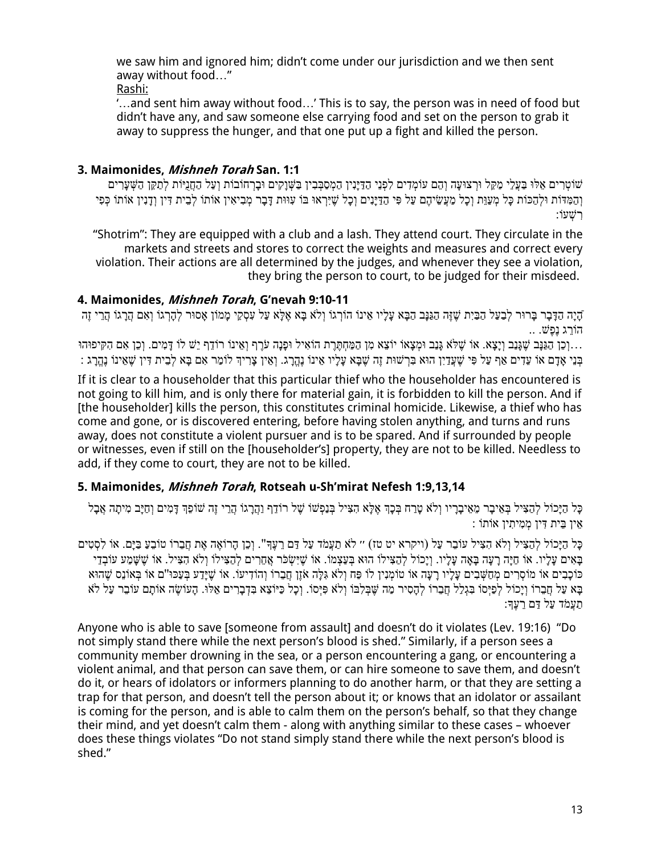we saw him and ignored him; didn't come under our jurisdiction and we then sent away without food…"

Rashi:

'…and sent him away without food…' This is to say, the person was in need of food but didn't have any, and saw someone else carrying food and set on the person to grab it away to suppress the hunger, and that one put up a fight and killed the person.

## **3. Maimonides, Mishneh Torah San. 1:1**

שׁוֹטְרִים אֵלּוּ בַעֲלֵי מַקֵּל וּרְצוּעַה וְהֶם עוֹמְדִים לִפְנֵי הַדַּיָּנִין הַמְסַבְּבִין בַּשְׁוַקִים וּבַרְחוֹבוֹת וְעַל הַחֲנָיּוֹת לִתַּקֵּן הַשָּׁעַרִים וְהַמְּדּוֹת וּלְהַכּוֹת כָּל מְעַוֵּת וְכָל מַעֲשֵׂיהֶם עַל פִּי הַדַּיָּנִים וְכָל שֶׁיִּרְאוּ בּוֹ עִוּוּת דָּבָר מְבִיאִין אוֹתוֹ לְבֵית דִּין וְדָנִין אוֹתוֹ כְּפִי וֹעְשִׁר :

"Shotrim": They are equipped with a club and a lash. They attend court. They circulate in the markets and streets and stores to correct the weights and measures and correct every violation. Their actions are all determined by the judges, and whenever they see a violation, they bring the person to court, to be judged for their misdeed.

## **4. Maimonides, Mishneh Torah, G'nevah 9:10-11**

ֿהַיַה הַדָּבַר בַּרוּר לִבַעַל הַבַּיִת שֶׁזֶּה הַגַּנַּב הַבָּא עַלַיו אֵינוֹ הוֹרְגוֹ וְלֹא בָּא אֵלֵּא עַל עִסְקֵי מַמוֹן אַסוּר לִהָרְגוֹ וְאָם הַרֲגוֹ הַרֵי זֶה .. הוֹרג נפ $\ddot{u}$ 

...וְכֵן הַגַּנָּב שֶׁגָּנַב וְיָצָא. אוֹ שֶׁלֹּא גָּנַב וּמְצָאוֹ יוֹצֵא מִן הַמַּחָתֶּרֶת הוֹאִיל וּפָנָה עֹרֶף וְאֵינוֹ רוֹדֵף יֵשׁ לוֹ דָּמִים. וְכֵן אִם הִקִּיפוּהוּ ָבְּנֵי אָבָם אוֹ עֲדָים אַף עַל פִּי שֶׁעֲדָיָן הוּא בְּרָשׁוּת זֶה שֶׁבַּא עַלָּיו אֵינוֹ נָהֱבָג וְאֵין צַרִיהָ לוֹמַר אָם בַּא לִבֵית דִּין שָׁאֵינוֹ נָהֶרֵג

If it is clear to a householder that this particular thief who the householder has encountered is not going to kill him, and is only there for material gain, it is forbidden to kill the person. And if [the householder] kills the person, this constitutes criminal homicide. Likewise, a thief who has come and gone, or is discovered entering, before having stolen anything, and turns and runs away, does not constitute a violent pursuer and is to be spared. And if surrounded by people or witnesses, even if still on the [householder's] property, they are not to be killed. Needless to add, if they come to court, they are not to be killed.

## **5. Maimonides, Mishneh Torah, Rotseah u-Sh'mirat Nefesh 1:9,13,14**

ֿכָּל הַיָּכוֹל לְהַצִּיל בְּאֵיבָר מֵאֵיבָרָיו וְלֹא טַרַח בְּכָךְ אֶלָּא הָצִיל בְּנַפְשׁוֹ שֶׁל רוֹדֵף וַהֲרָגוֹ הָרֵי זֶה שׁוֹפֵךְ דָּמִים וְחַיָּב מִיתָה אֲבָל וֹתוֹא ןיִתיִמְמ ןיִדּ תיֵבּ ןיֵא :

ּכָּל הַיָּכוֹל לְהַצִּיל וְלֹא הִצִּיל עוֹבֶר עַל (ויקרא יט טז) ״ לֹא תַעֲמֹד עַל דַם רֵעֵךְ". וְכֵן הַרוֹאֵה אֶת חֲבֵרוֹ טוֹבֵעַ בַּיַּם. אוֹ לִסְטִים ָבַאִים עַלַיו. אוֹ חַיַּה רַעַה בַּאַה עַלַיו. וְיַכוֹל לְהַצִּילוֹ הוּא בְּעַצְמוֹ. אוֹ שֵׁיִשְׂפֹר אֲחֵרים לְהַצִּילוֹ וְלֹא הָצִיל. אוֹ שֵׁשַּׁמַע עוֹבְדֵי ָכּוֹכָבִים אוֹ מוֹסְרִים מְחַשָּׁבִים עַלַיו רַעַה אוֹ טוֹמְנִין לוֹ פַּח וְלֹא גִלַּה אֹזֵן חַבֵּרוֹ וְהוֹדִיעוֹ ַבּא על חברוֹ ויכוֹל לִפִּיּסוֹ בַּגלל חברוֹ לִהסיר מה שַׁבַּלְבּוֹ וְלֹא פּיּסוֹ. וכל כִּיּוֹצֵא בַּדברים אלִוּ. העוֹשׂה אוֹתם עוֹבר על לֹא ַתַעֲמֹד עַל דַם רֵעֵד

Anyone who is able to save [someone from assault] and doesn't do it violates (Lev. 19:16) "Do not simply stand there while the next person's blood is shed." Similarly, if a person sees a community member drowning in the sea, or a person encountering a gang, or encountering a violent animal, and that person can save them, or can hire someone to save them, and doesn't do it, or hears of idolators or informers planning to do another harm, or that they are setting a trap for that person, and doesn't tell the person about it; or knows that an idolator or assailant is coming for the person, and is able to calm them on the person's behalf, so that they change their mind, and yet doesn't calm them - along with anything similar to these cases – whoever does these things violates "Do not stand simply stand there while the next person's blood is shed."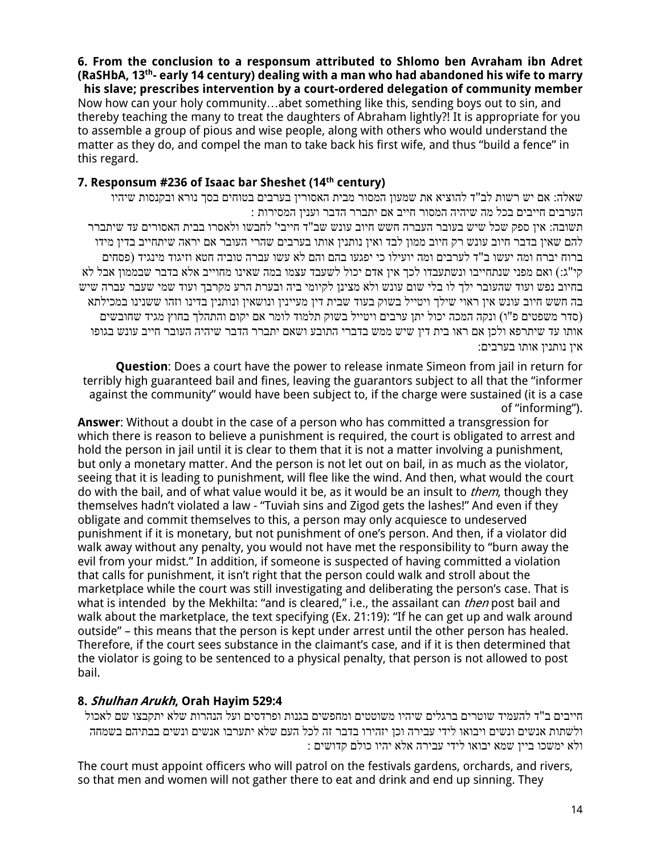**6. From the conclusion to a responsum attributed to Shlomo ben Avraham ibn Adret - early 14 century) dealing with a man who had abandoned his wife to marry th (RaSHbA, 13 his slave; prescribes intervention by a court-ordered delegation of community member** Now how can your holy community…abet something like this, sending boys out to sin, and thereby teaching the many to treat the daughters of Abraham lightly?! It is appropriate for you to assemble a group of pious and wise people, along with others who would understand the matter as they do, and compel the man to take back his first wife, and thus "build a fence" in this regard.

## **7. Responsum #236 of Isaac bar Sheshet (14th century)**

שאלה: אם יש רשות לב"ד להוציא את שמעון המסור מבית האסורין בערבים בטוחים בסך נורא ובקנסות שיהיו . הערבים חייבים בכל מה שיהיה המסור חייב אם יתברר הדבר וענין המסירות תשובה: איז ספק שכל שיש בעובר העברה חשש חיוב עונש שב"ד חייבי' לחבשו ולאסרו בבית האסורים עד שיתברר להם שאין בדבר חיוב עונש רק חיוב ממון לבד ואין נותנין אותו בערבים שהרי העובר אם יראה שיתחייב בדין מידו ברוח יברח ומה יעשו ב"ד לערבים ומה יועילו כי יפגעו בהם והם לא עשו עברה טוביה חטא וזיגוד מינגיד (פסחים קי"ג:) ואם מפני שנתחייבו ונשתעבדו לכך אין אדם יכול לשעבד עצמו במה שאינו מחוייב אלא בדבר שבממון אבל לא בחיוב נפש ועוד שהעובר ילך לו בלי שום עונש ולא מצינו לקיומי ביה ובערת הרע מקרבך ועוד שמי שעבר עברה שיש בה חשש חיוב עונש אין ראוי שילך ויטייל בשוק בעוד שבית דין מעיינין ונושאין ונותנין בדינו וזהו ששנינו במכילתא (סדר משפטים פ"ו) ונקה המכה יכול יתן ערבים ויטייל בשוק תלמוד לומר אם יקום והתהלך בחוץ מגיד שחובשים אותו עד שיתרפא ולכן אם ראו בית דין שיש ממש בדברי התובע ושאם יתברר הדבר שיהיה העובר חייב עונש בגופו איו נותניו אותו בערבים:

**Question**: Does a court have the power to release inmate Simeon from jail in return for terribly high guaranteed bail and fines, leaving the guarantors subject to all that the "informer against the community" would have been subject to, if the charge were sustained (it is a case of "informing").

**Answer**: Without a doubt in the case of a person who has committed a transgression for which there is reason to believe a punishment is required, the court is obligated to arrest and hold the person in jail until it is clear to them that it is not a matter involving a punishment, but only a monetary matter. And the person is not let out on bail, in as much as the violator, seeing that it is leading to punishment, will flee like the wind. And then, what would the court do with the bail, and of what value would it be, as it would be an insult to *them*, though they themselves hadn't violated a law - "Tuviah sins and Zigod gets the lashes!" And even if they obligate and commit themselves to this, a person may only acquiesce to undeserved punishment if it is monetary, but not punishment of one's person. And then, if a violator did walk away without any penalty, you would not have met the responsibility to "burn away the evil from your midst." In addition, if someone is suspected of having committed a violation that calls for punishment, it isn't right that the person could walk and stroll about the marketplace while the court was still investigating and deliberating the person's case. That is what is intended by the Mekhilta: "and is cleared," i.e., the assailant can then post bail and walk about the marketplace, the text specifying (Ex. 21:19): "If he can get up and walk around outside" – this means that the person is kept under arrest until the other person has healed. Therefore, if the court sees substance in the claimant's case, and if it is then determined that the violator is going to be sentenced to a physical penalty, that person is not allowed to post bail.

## **8. Shulhan Arukh, Orah Hayim 529:4**

הייבים ב"ד להעמיד שוטרים ברגלים שיהיו משוטטים ומחפשים בגנות ופרדסים ועל הנהרות שלא יתקבצו שם לאכול ולשתות אנשים ונשים ויבואו לידי עבירה וכן יזהירו בדבר זה לכל העם שלא יתערבו אנשים ונשים בבתיהם בשמחה םישודק םלוכ ויהי אלא הריבע ידיל ואובי אמש ןייב וכשמי אלו :

The court must appoint officers who will patrol on the festivals gardens, orchards, and rivers, so that men and women will not gather there to eat and drink and end up sinning. They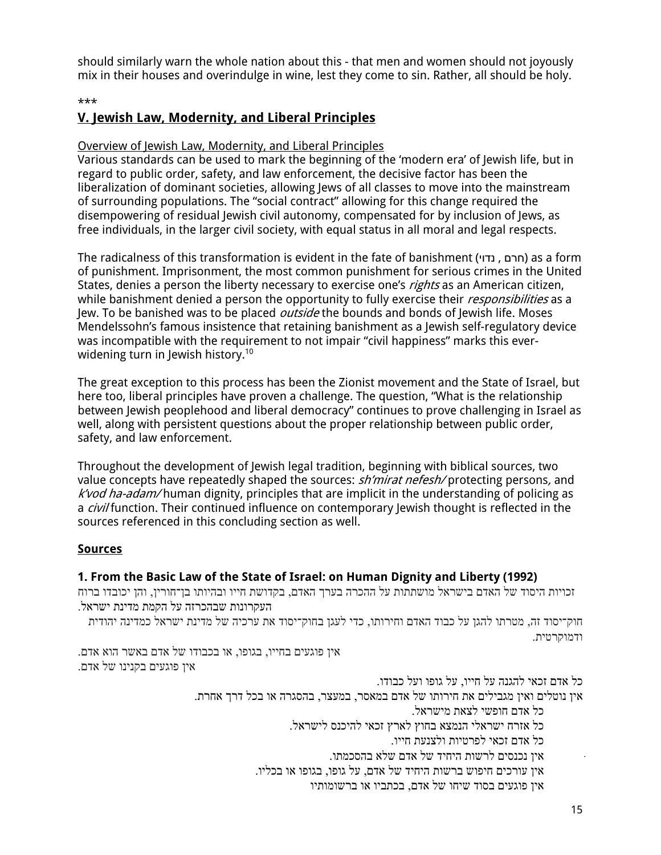should similarly warn the whole nation about this - that men and women should not joyously mix in their houses and overindulge in wine, lest they come to sin. Rather, all should be holy.

#### \*\*\*

## **V. Jewish Law, Modernity, and Liberal Principles**

### Overview of Jewish Law, Modernity, and Liberal Principles

Various standards can be used to mark the beginning of the 'modern era' of Jewish life, but in regard to public order, safety, and law enforcement, the decisive factor has been the liberalization of dominant societies, allowing Jews of all classes to move into the mainstream of surrounding populations. The "social contract" allowing for this change required the disempowering of residual Jewish civil autonomy, compensated for by inclusion of Jews, as free individuals, in the larger civil society, with equal status in all moral and legal respects.

The radicalness of this transformation is evident in the fate of banishment ( יודנ , םרח ( as a form of punishment. Imprisonment, the most common punishment for serious crimes in the United States, denies a person the liberty necessary to exercise one's *rights* as an American citizen, while banishment denied a person the opportunity to fully exercise their *responsibilities* as a Jew. To be banished was to be placed *outside* the bounds and bonds of Jewish life. Moses Mendelssohn's famous insistence that retaining banishment as a Jewish self-regulatory device was incompatible with the requirement to not impair "civil happiness" marks this everwidening turn in Jewish history.<sup>10</sup>

The great exception to this process has been the Zionist movement and the State of Israel, but here too, liberal principles have proven a challenge. The question, "What is the relationship between Jewish peoplehood and liberal democracy" continues to prove challenging in Israel as well, along with persistent questions about the proper relationship between public order, safety, and law enforcement.

Throughout the development of Jewish legal tradition, beginning with biblical sources, two value concepts have repeatedly shaped the sources: sh'mirat nefesh/ protecting persons, and  $k$ *vod ha-adam*/human dignity, principles that are implicit in the understanding of policing as a *civil* function. Their continued influence on contemporary Jewish thought is reflected in the sources referenced in this concluding section as well.

#### **Sources**

## **1. From the Basic Law of the State of Israel: on Human Dignity and Liberty (1992)**

זכויות היסוד של האדם בישראל מושתתות על ההכרה בערך האדם, בקדושת חייו ובהיותו בן־חורין, והן יכובדו ברוח . העקרונות שבהכרזה על הקמת מדינת ישראל

חוק־יסוד זה, מטרתו להגן על כבוד האדם וחירותו, כדי לעגן בחוק־יסוד את ערכיה של מדינת ישראל כמדינה יהודית תיטרקומדו .

אין פוגעים בחייו, בגופו, או בכבודו של אדם באשר הוא אדם. איו פוגעים בקנינו של אדם.

כל אדם זכאי להגנה על חייו, על גופו ועל כבודו.

אין נוטלים ואין מגבילים את חירותו של אדם במאסר, במעצר, בהסגרה או בכל דרך אחרת.

כל אדם חופשי לצאת מישראל.

. כל אזרח ישראלי הנמצא בחוץ לארץ זכאי להיכנס לישראל

.<br>כל אדם זכאי לפרטיות ולצנעת חייו

. אין נכנסים לרשות היחיד של אדם שלא בהסכמתו

אין עורכים חיפוש ברשות היחיד של אדם, על גופו, בגופו או בכליו.

ותיו שיתו של הדם, המביו או הרשומותיו אין מוגעים בסוד ה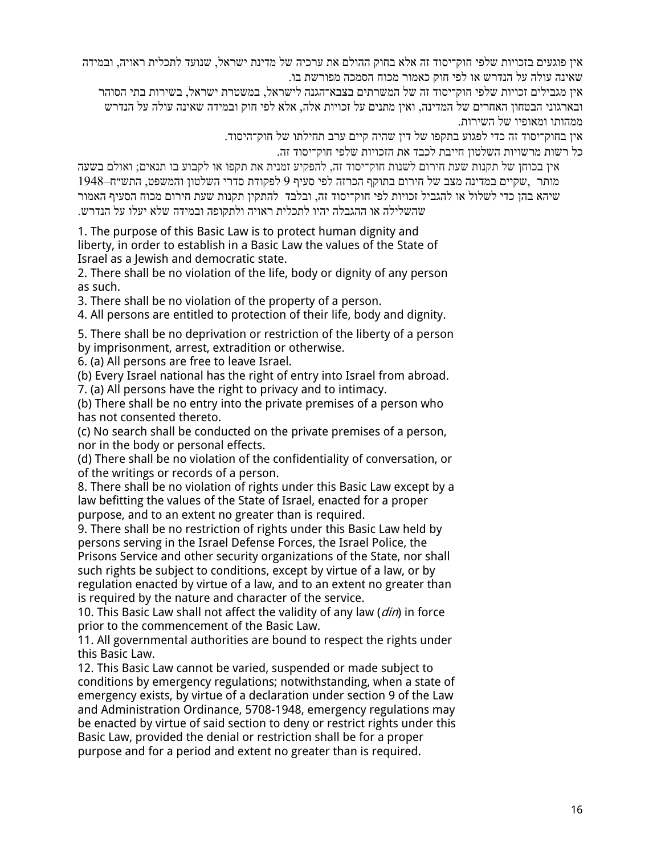אין פוגעים בזכויות שלפי חוק־יסוד זה אלא בחוק ההולם את ערכיה של מדינת ישראל, שנועד לתכלית ראויה, ובמידה שאינה עולה על הנדרש או לפי חוק כאמור מכוח הסמכה מפורשת בו.

אין מגבילים זכויות שלפי חוק־יסוד זה של המשרתים בצבא־הגנה לישראל, במשטרת ישראל, בשירות בתי הסוהר ובארגוני הבטחון האחרים של המדינה, ואין מתנים על זכויות אלה, אלא לפי חוק ובמידה שאינה עולה על הנדרש .ממהותו ומאופיו של השירות

. אין בחוק־יסוד זה כדי לפגוע בתקפו של דין שהיה קיים ערב תחילתו של חוק־היסוד

כל רשות מרשויות השלטון חייבת לכבד את הזכויות שלפי חוק־יסוד זה.

אין בכוחן של תקנות שעת חירום לשנות חוק־יסוד זה, להפקיע זמנית את תקפו או לקבוע בו תנאים; ואולם בשעה 1948–תומשפט, התש"ח לפי הירום בתוקף הכרזה לפי סעיף 9 לפקודת סדרי השלטון והמשפט, התש"ח שיהא בהן כדי לשלול או להגביל זכויות לפי חוק־יסוד זה, ובלבד להתקין תקנות שעת חירום מכוח הסעיף האמור שהשלילה או ההגבלה יהיו לתכלית ראויה ולתקופה ובמידה שלא יעלו על הנדרש.

1. The purpose of this Basic Law is to protect human dignity and liberty, in order to establish in a Basic Law the values of the State of Israel as a Jewish and democratic state.

2. There shall be no violation of the life, body or dignity of any person as such.

3. There shall be no violation of the property of a person.

4. All persons are entitled to protection of their life, body and dignity.

5. There shall be no deprivation or restriction of the liberty of a person by imprisonment, arrest, extradition or otherwise.

6. (a) All persons are free to leave Israel.

(b) Every Israel national has the right of entry into Israel from abroad.

7. (a) All persons have the right to privacy and to intimacy.

(b) There shall be no entry into the private premises of a person who has not consented thereto.

(c) No search shall be conducted on the private premises of a person, nor in the body or personal effects.

(d) There shall be no violation of the confidentiality of conversation, or of the writings or records of a person.

8. There shall be no violation of rights under this Basic Law except by a law befitting the values of the State of Israel, enacted for a proper purpose, and to an extent no greater than is required.

9. There shall be no restriction of rights under this Basic Law held by persons serving in the Israel Defense Forces, the Israel Police, the Prisons Service and other security organizations of the State, nor shall

such rights be subject to conditions, except by virtue of a law, or by regulation enacted by virtue of a law, and to an extent no greater than is required by the nature and character of the service.

10. This Basic Law shall not affect the validity of any law (*din*) in force prior to the commencement of the Basic Law.

11. All governmental authorities are bound to respect the rights under this Basic Law.

12. This Basic Law cannot be varied, suspended or made subject to conditions by emergency regulations; notwithstanding, when a state of emergency exists, by virtue of a declaration under section 9 of the Law and Administration Ordinance, 5708-1948, emergency regulations may be enacted by virtue of said section to deny or restrict rights under this Basic Law, provided the denial or restriction shall be for a proper purpose and for a period and extent no greater than is required.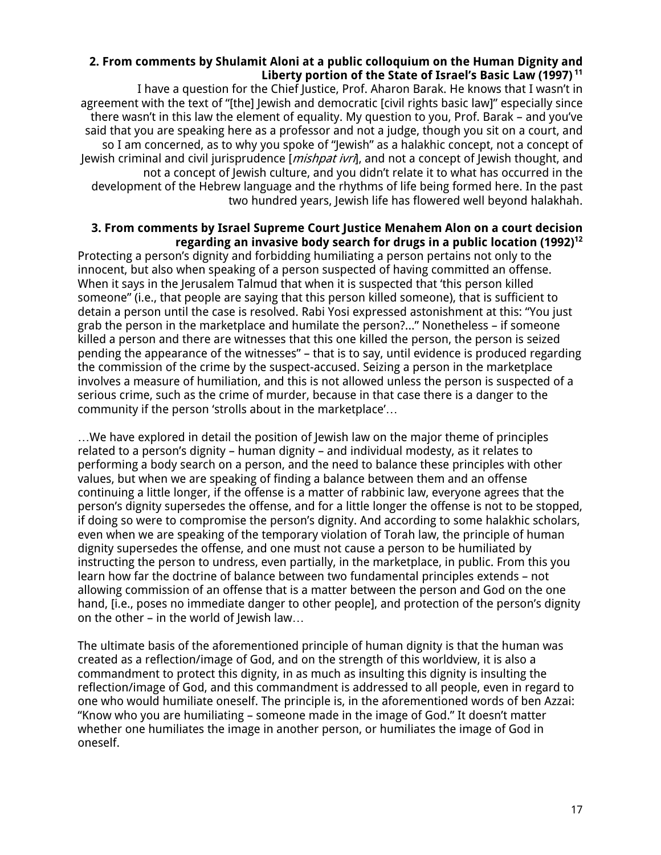### **2. From comments by Shulamit Aloni at a public colloquium on the Human Dignity and <sup>11</sup> Liberty portion of the State of Israel's Basic Law (1997)**

I have a question for the Chief Justice, Prof. Aharon Barak. He knows that I wasn't in agreement with the text of "[the] Jewish and democratic [civil rights basic law]" especially since there wasn't in this law the element of equality. My question to you, Prof. Barak – and you've said that you are speaking here as a professor and not a judge, though you sit on a court, and so I am concerned, as to why you spoke of "Jewish" as a halakhic concept, not a concept of Jewish criminal and civil jurisprudence [*mishpat ivri*], and not a concept of Jewish thought, and not a concept of Jewish culture, and you didn't relate it to what has occurred in the development of the Hebrew language and the rhythms of life being formed here. In the past two hundred years, Jewish life has flowered well beyond halakhah.

#### **3. From comments by Israel Supreme Court Justice Menahem Alon on a court decision <sup>12</sup> regarding an invasive body search for drugs in a public location (1992)**

Protecting a person's dignity and forbidding humiliating a person pertains not only to the innocent, but also when speaking of a person suspected of having committed an offense. When it says in the Jerusalem Talmud that when it is suspected that 'this person killed someone" (i.e., that people are saying that this person killed someone), that is sufficient to detain a person until the case is resolved. Rabi Yosi expressed astonishment at this: "You just grab the person in the marketplace and humilate the person?..." Nonetheless – if someone killed a person and there are witnesses that this one killed the person, the person is seized pending the appearance of the witnesses" – that is to say, until evidence is produced regarding the commission of the crime by the suspect-accused. Seizing a person in the marketplace involves a measure of humiliation, and this is not allowed unless the person is suspected of a serious crime, such as the crime of murder, because in that case there is a danger to the community if the person 'strolls about in the marketplace'…

…We have explored in detail the position of Jewish law on the major theme of principles related to a person's dignity – human dignity – and individual modesty, as it relates to performing a body search on a person, and the need to balance these principles with other values, but when we are speaking of finding a balance between them and an offense continuing a little longer, if the offense is a matter of rabbinic law, everyone agrees that the person's dignity supersedes the offense, and for a little longer the offense is not to be stopped, if doing so were to compromise the person's dignity. And according to some halakhic scholars, even when we are speaking of the temporary violation of Torah law, the principle of human dignity supersedes the offense, and one must not cause a person to be humiliated by instructing the person to undress, even partially, in the marketplace, in public. From this you learn how far the doctrine of balance between two fundamental principles extends – not allowing commission of an offense that is a matter between the person and God on the one hand, [i.e., poses no immediate danger to other people], and protection of the person's dignity on the other – in the world of Jewish law…

The ultimate basis of the aforementioned principle of human dignity is that the human was created as a reflection/image of God, and on the strength of this worldview, it is also a commandment to protect this dignity, in as much as insulting this dignity is insulting the reflection/image of God, and this commandment is addressed to all people, even in regard to one who would humiliate oneself. The principle is, in the aforementioned words of ben Azzai: "Know who you are humiliating – someone made in the image of God." It doesn't matter whether one humiliates the image in another person, or humiliates the image of God in oneself.